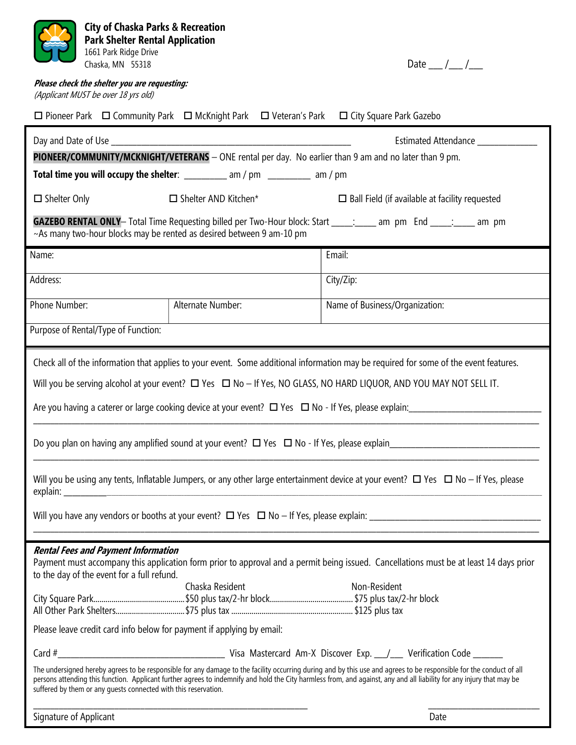| <b>City of Chaska Parks &amp; Recreation</b><br><b>Park Shelter Rental Application</b><br>1661 Park Ridge Drive<br>Chaska, MN 55318                                                                                                                                                                                                                                                                                                                                                                                                                                                                                                                                                                                                                               |                                                                                            | Date $\frac{1}{\sqrt{2}}$                             |
|-------------------------------------------------------------------------------------------------------------------------------------------------------------------------------------------------------------------------------------------------------------------------------------------------------------------------------------------------------------------------------------------------------------------------------------------------------------------------------------------------------------------------------------------------------------------------------------------------------------------------------------------------------------------------------------------------------------------------------------------------------------------|--------------------------------------------------------------------------------------------|-------------------------------------------------------|
| Please check the shelter you are requesting:                                                                                                                                                                                                                                                                                                                                                                                                                                                                                                                                                                                                                                                                                                                      |                                                                                            |                                                       |
| (Applicant MUST be over 18 yrs old)                                                                                                                                                                                                                                                                                                                                                                                                                                                                                                                                                                                                                                                                                                                               |                                                                                            |                                                       |
|                                                                                                                                                                                                                                                                                                                                                                                                                                                                                                                                                                                                                                                                                                                                                                   | □ Pioneer Park □ Community Park □ McKnight Park □ Veteran's Park □ City Square Park Gazebo |                                                       |
|                                                                                                                                                                                                                                                                                                                                                                                                                                                                                                                                                                                                                                                                                                                                                                   |                                                                                            | Estimated Attendance ___________                      |
| PIONEER/COMMUNITY/MCKNIGHT/VETERANS - ONE rental per day. No earlier than 9 am and no later than 9 pm.                                                                                                                                                                                                                                                                                                                                                                                                                                                                                                                                                                                                                                                            |                                                                                            |                                                       |
| Total time you will occupy the shelter: __________ am / pm _________ am / pm                                                                                                                                                                                                                                                                                                                                                                                                                                                                                                                                                                                                                                                                                      |                                                                                            |                                                       |
| $\Box$ Shelter Only                                                                                                                                                                                                                                                                                                                                                                                                                                                                                                                                                                                                                                                                                                                                               | $\Box$ Shelter AND Kitchen*                                                                | $\Box$ Ball Field (if available at facility requested |
| <b>GAZEBO RENTAL ONLY</b> — Total Time Requesting billed per Two-Hour block: Start _____; _____ am pm End _____; ____ am pm<br>~As many two-hour blocks may be rented as desired between 9 am-10 pm                                                                                                                                                                                                                                                                                                                                                                                                                                                                                                                                                               |                                                                                            |                                                       |
| Name:                                                                                                                                                                                                                                                                                                                                                                                                                                                                                                                                                                                                                                                                                                                                                             |                                                                                            | Email:                                                |
| Address:                                                                                                                                                                                                                                                                                                                                                                                                                                                                                                                                                                                                                                                                                                                                                          |                                                                                            | City/Zip:                                             |
| Phone Number:                                                                                                                                                                                                                                                                                                                                                                                                                                                                                                                                                                                                                                                                                                                                                     | Alternate Number:                                                                          | Name of Business/Organization:                        |
| Purpose of Rental/Type of Function:                                                                                                                                                                                                                                                                                                                                                                                                                                                                                                                                                                                                                                                                                                                               |                                                                                            |                                                       |
| Check all of the information that applies to your event. Some additional information may be required for some of the event features.<br>Will you be serving alcohol at your event? $\Box$ Yes $\Box$ No - If Yes, NO GLASS, NO HARD LIQUOR, AND YOU MAY NOT SELL IT.<br>Are you having a caterer or large cooking device at your event? $\Box$ Yes $\Box$ No - If Yes, please explain:<br>Do you plan on having any amplified sound at your event? $\Box$ Yes $\Box$ No - If Yes, please explain<br>Will you be using any tents, Inflatable Jumpers, or any other large entertainment device at your event? $\Box$ Yes $\Box$ No - If Yes, please                                                                                                                 |                                                                                            |                                                       |
| <b>Rental Fees and Payment Information</b><br>Payment must accompany this application form prior to approval and a permit being issued. Cancellations must be at least 14 days prior<br>to the day of the event for a full refund.<br>Chaska Resident<br>Non-Resident<br>Please leave credit card info below for payment if applying by email:<br>The undersigned hereby agrees to be responsible for any damage to the facility occurring during and by this use and agrees to be responsible for the conduct of all<br>persons attending this function. Applicant further agrees to indemnify and hold the City harmless from, and against, any and all liability for any injury that may be<br>suffered by them or any quests connected with this reservation. |                                                                                            |                                                       |
| Signature of Applicant                                                                                                                                                                                                                                                                                                                                                                                                                                                                                                                                                                                                                                                                                                                                            |                                                                                            | Date                                                  |